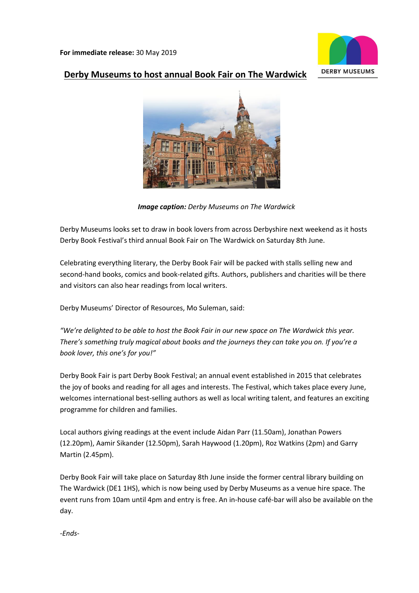

# **Derby Museums to host annual Book Fair on The Wardwick**



*Image caption: Derby Museums on The Wardwick*

Derby Museums looks set to draw in book lovers from across Derbyshire next weekend as it hosts Derby Book Festival's third annual Book Fair on The Wardwick on Saturday 8th June.

Celebrating everything literary, the Derby Book Fair will be packed with stalls selling new and second-hand books, comics and book-related gifts. Authors, publishers and charities will be there and visitors can also hear readings from local writers.

Derby Museums' Director of Resources, Mo Suleman, said:

*"We're delighted to be able to host the Book Fair in our new space on The Wardwick this year. There's something truly magical about books and the journeys they can take you on. If you're a book lover, this one's for you!"*

Derby Book Fair is part Derby Book Festival; an annual event established in 2015 that celebrates the joy of books and reading for all ages and interests. The Festival, which takes place every June, welcomes international best-selling authors as well as local writing talent, and features an exciting programme for children and families.

Local authors giving readings at the event include Aidan Parr (11.50am), Jonathan Powers (12.20pm), Aamir Sikander (12.50pm), Sarah Haywood (1.20pm), Roz Watkins (2pm) and Garry Martin (2.45pm).

Derby Book Fair will take place on Saturday 8th June inside the former central library building on The Wardwick (DE1 1HS), which is now being used by Derby Museums as a venue hire space. The event runs from 10am until 4pm and entry is free. An in-house café-bar will also be available on the day.

*-Ends-*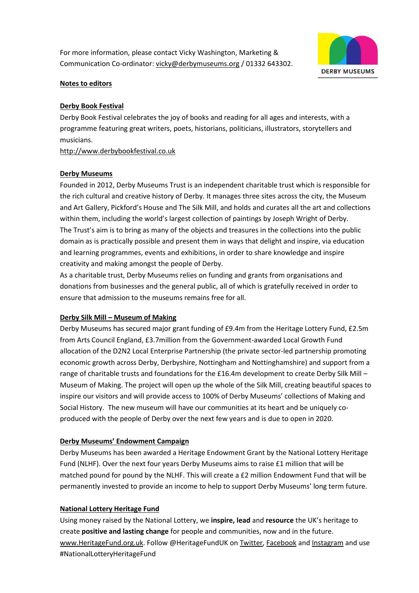For more information, please contact Vicky Washington, Marketing & Communication Co-ordinator[: vicky@derbymuseums.org](mailto:vicky@derbymuseums.org) / 01332 643302.



#### **Notes to editors**

#### **Derby Book Festival**

Derby Book Festival celebrates the joy of books and reading for all ages and interests, with a programme featuring great writers, poets, historians, politicians, illustrators, storytellers and musicians.

[http://www.derbybookfestival.co.uk](http://www.derbybookfestival.co.uk/)

#### **[Derby Museums](https://www.derbymuseums.org/)**

Founded in 2012, Derby Museums Trust is an independent charitable trust which is responsible for the rich cultural and creative history of Derby. It manages three sites across the city, the Museum and Art Gallery, Pickford's House and The Silk Mill, and holds and curates all the art and collections within them, including the world's largest collection of paintings by Joseph Wright of Derby. The Trust's aim is to bring as many of the objects and treasures in the collections into the public domain as is practically possible and present them in ways that delight and inspire, via education and learning programmes, events and exhibitions, in order to share knowledge and inspire creativity and making amongst the people of Derby.

As a charitable trust, Derby Museums relies on funding and grants from organisations and donations from businesses and the general public, all of which is gratefully received in order to ensure that admission to the museums remains free for all.

## **Derby Silk Mill – [Museum of Making](http://derbysilkmill.tumblr.com/)**

Derby Museums has secured major grant funding of £9.4m from the Heritage Lottery Fund, £2.5m from Arts Council England, £3.7million from the Government-awarded Local Growth Fund allocation of the D2N2 Local Enterprise Partnership (the private sector-led partnership promoting economic growth across Derby, Derbyshire, Nottingham and Nottinghamshire) and support from a range of charitable trusts and foundations for the £16.4m development to create Derby Silk Mill – Museum of Making. The project will open up the whole of the Silk Mill, creating beautiful spaces to inspire our visitors and will provide access to 100% of Derby Museums' collections of Making and Social History. The new museum will have our communities at its heart and be uniquely coproduced with the people of Derby over the next few years and is due to open in 2020.

## **[Derby Museums' Endowment Campaign](https://www.derbymuseums.org/support/heritage-endowments-fund)**

Derby Museums has been awarded a Heritage Endowment Grant by the National Lottery Heritage Fund (NLHF). Over the next four years Derby Museums aims to raise £1 million that will be matched pound for pound by the NLHF. This will create a £2 million Endowment Fund that will be permanently invested to provide an income to help to support Derby Museums' long term future.

#### **National Lottery Heritage Fund**

Using money raised by the National Lottery, we **inspire, lead** and **resource** the UK's heritage to create **positive and lasting change** for people and communities, now and in the future. [www.HeritageFund.org.uk.](http://www.heritagefund.org.uk/) Follow @HeritageFundUK o[n Twitter,](https://twitter.com/HeritageFundUK) [Facebook](https://www.facebook.com/HeritageFundUK) an[d Instagram](https://www.instagram.com/heritagefunduk/) and use #NationalLotteryHeritageFund